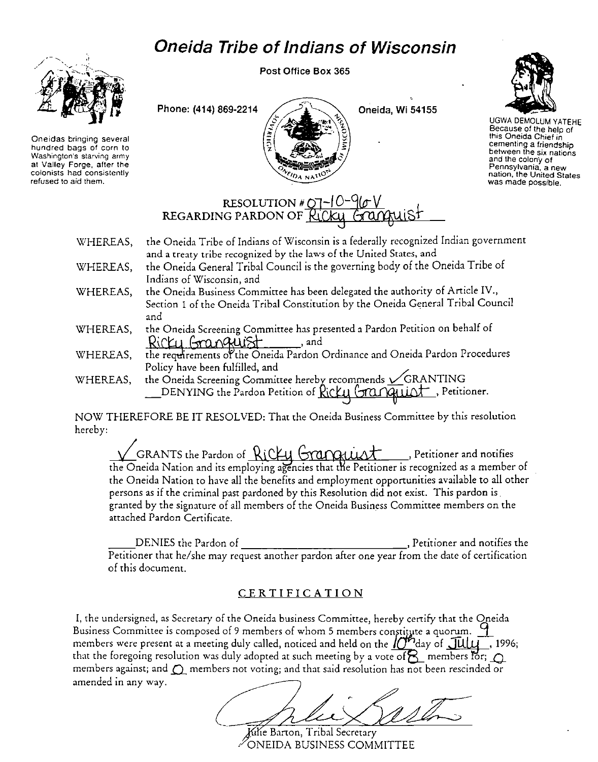## **Oneida Tribe of Indians of Wisconsin**



**Oneidas bringing several hundred bags of corn to Washington's starving army at Valley Forge, after the colonists had consistently refused to aid them.** 

Post Office Box 365





UGWA DEMOLUM YATEHE Because of the help of this Oneida Chief in **cementing a friendship between the six nations and the colony of Pennsylvania, a new nation, the United States was made possible.** 

## RESOLUTION # 07-10<sup>-0</sup><br>REGARDING PARDON OF Ricky

- WHEREAS, WHEREAS, the Oneida Tribe of Indians of Wisconsin is a federally recognized Indian government **and a treaty tribe recognized by the laws of the United States, and**  the Oneida General Tribal Council is the governing body of the Oneida Tribe of
- WHEREAS, Indians of Wisconsin, and the Oneida Business Committee has been delegated the authority of Article IV., Section 1 of the Oneida Tribal Constitution by the Oneida General Tribal Council and
- WHEREAS, the Oneida Screening Committee has presented a Pardon Petition on behalf of  $Richi$   $Gm$  $Rulist$ , and
- WHEREAS, the requirements of the Oneida Pardon Ordinance and Oneida Pardon Procedures Policy have been fulfilled, and
- WHEREAS, the Oneida Screening Committee hereby recommends  $\sqrt{\text{GRANTING}}$ DENYING the Pardon Petition of Ricku Granguist, Petitioner.

NOW THEREFORE BE IT RESOLVED: That the Oneida Business Committee by this resolution hereby:

 $\sqrt{ }$  GRANTS the Pardon of Ricky Grappuist , Petitioner and notifies the Oneida Nation and its employing agencies that the Petitioner is recognized as a member of the Oneida Nation to have all the benefits and employment opportunities available to all other persons as if the criminal past pardoned by this Resolution did not exist. This pardon is granted by the signature of all members of the Oneida Business Committee members on the attached Pardon Certificate.

\_\_ DENIES the Pardon of , Petitioner and notifies the Petitioner that he/she may request another pardon after one year from the date of certification of this document.

## CERTIFICATION

I, the undersigned, as Secretary of the Oneida business Committee, hereby certify that the Oneida Business Committee is composed of 9 members of whom 5 members constitute a quorum. <sup>9</sup> members were present at a meeting duly called, noticed and held on the  $\int_0^{\infty}$ day of  $\int \frac{\partial u}{\partial x}$ , 1996; that the foregoing resolution was duly adopted at such meeting by a vote of  $\beta$  members for;  $\bigcap$ members against; and  $\bigcirc$  members not voting; and that said resolution has not been rescinded or amended in any way.

Kilie Barton, Tribal Secretary ONEIDA BUSINESS COMMITTEE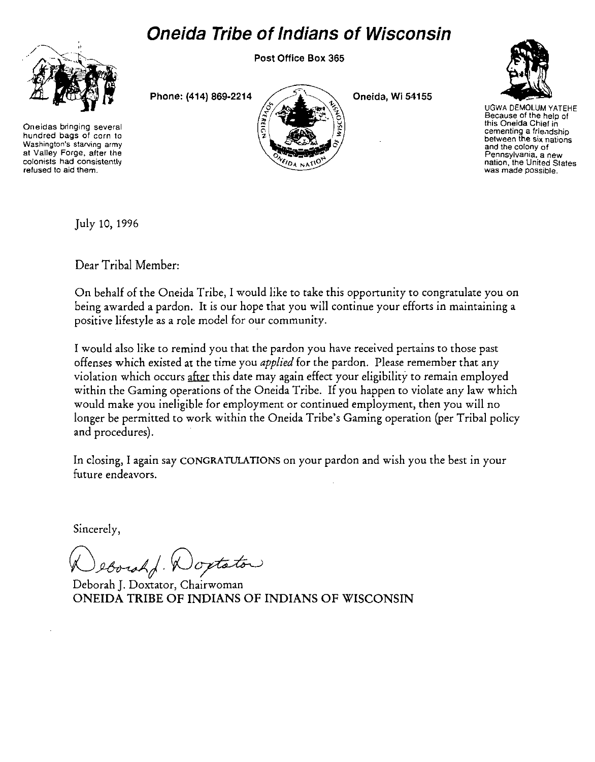## **Oneida Tribe of Indians of Wisconsin**

Post Office Box 365



**Oneidas bringing several hundred bags of corn to Washington's starving army at Valley Forge, after the colonists had consistently refused to aid them.** 

Phone: (414) 869-2214  $\bigcup$   $\bigcup$   $\bigcup$  Oneida, Wi 54155





UGWA DEMOLUM YATEHE **Because of the help of this Oneida Chief in cementing a frie.ldship between the six nations and the colony of Pennsylvania, a new nation, the United States was made possible.** 

July 10, 1996

Dear Tribal Member:

On behalf of the Oneida Tribe, I would like to take this opportunity to congratulate you on being awarded a pardon. It is our hope that you will continue your efforts in maintaining a positive lifestyle as a role model for our community.

I would also like to remind you that the pardon you have received pertains to those past offenses which existed at the time you *applied* for the pardon. Please remember that any violation which occurs after this date may again effect your eligibility to remain employed within the Gaming operations of the Oneida Tribe. If you happen to violate any law which would make you ineligible for employment or continued employment, then you will no longer be permitted to work within the Oneida Tribe's Gaming operation (per Tribal policy and procedures).

In closing, I again say CONGRATULATIONS on your pardon and wish you the best in your future endeavors.

Sincerely,

eborah Wortston

Deborah J. Doxtator, Chairwoman ONEIDA TRIBE OF INDIANS OF INDIANS OF WISCONSIN